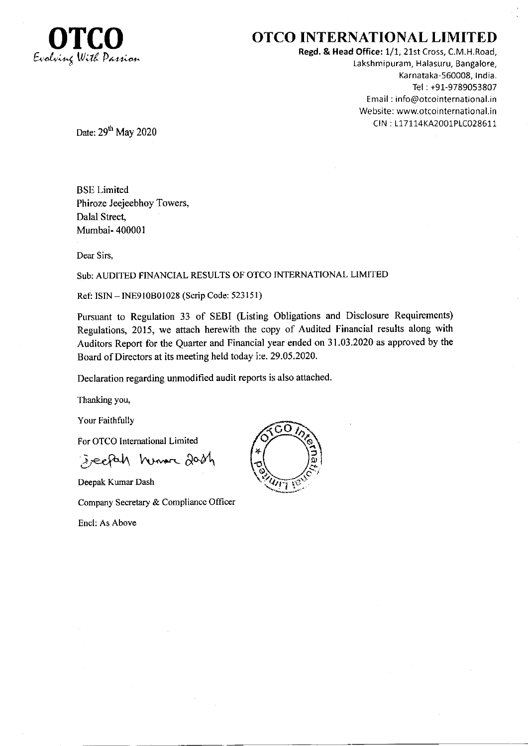

# **OTCO INTERNATIONAL LIMITED**

Regd. & Head Office: 1/1, 21st Cross, C.M.H.Road, Lakshmipuram, Halasuru, Bangalore, Karnataka-560008, India. Tel: +91-9789053807 Email: info@otcointernational.in Website: www.otcointernational.in CIN: L17114KA2001PLC028611

Date: 29<sup>th</sup> May 2020

**BSE** Limited Phiroze Jeejeebhoy Towers, Dalal Street, Mumbai- 400001

Dear Sirs,

# Sub: AUDITED FINANCIAL RESULTS OF OTCO INTERNATIONAL LIMITED

Ref: ISIN - INE910B01028 (Scrip Code: 523151)

Pursuant to Regulation 33 of SEBI (Listing Obligations and Disclosure Requirements) Regulations, 2015, we attach herewith the copy of Audited Financial results along with Auditors Report for the Quarter and Financial year ended on 31.03.2020 as approved by the Board of Directors at its meeting held today i:e. 29.05.2020.

Declaration regarding unmodified audit reports is also attached.

Thanking you,

Your Faithfully

For OTCO International Limited

Everfah humor dash

Deepak Kumar Dash

Company Secretary & Compliance Officer

Encl: As Above

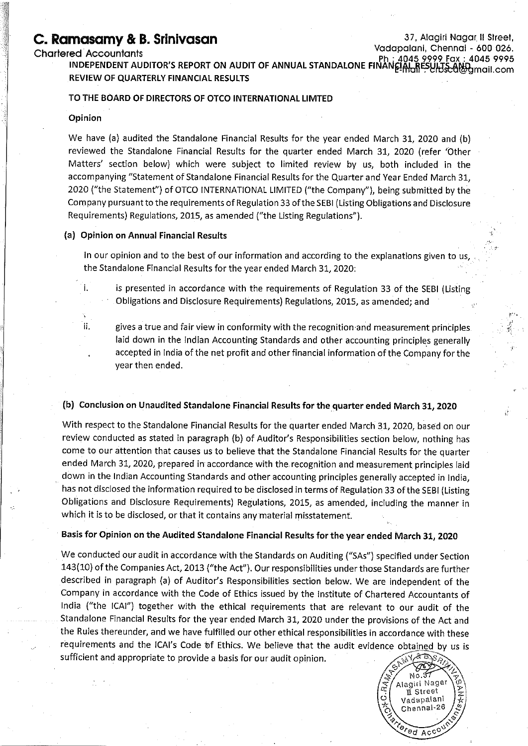# C. Ramasamy & B. Srinivasan

#### **Charlered Accountants**

37, Alagiri Nagar II Street, Vadapalani, Chennai - 600 026. 4045 9999 Fax : 4045 9995

red Accountants<br>INDEPENDENT AUDITOR'S REPORT ON AUDIT OF ANNUAL STANDALONE FINANEIAL RESULTS day . 4045 9999<br>INDEPENDENT AUDITOR'S REPORT ON AUDIT OF ANNUAL STANDALONE FINANEIAL RESULTS diggmail.com REVIEW OF QUARTERLY FINANCIAL RESULTS

#### TO THE BOARD OF DIRECTORS OF OTCO INTERNATIONAL LIMTED

#### Opinion

i.

Ϊi.

We have (a) audited the Standalone Financial Results for the year ended March 31, 2020 and (b) reviewed the Standalone Financial Results for the quarter ended March 31, 2020 (refer 'Other Matters' section below) which were subject to limited review by us, both included in the accompanying "Statement of Standalone Financial Results for the Quarter and Year Ended March 31, 2020 ("the Statement") of OTCO INTERNATIONAL LIMITED ("the Company"), being submitted by the Company pursuant to the requirements of Regulation 33 of the SEBI (Listing Obligations and Disclosure Requirements) Regulations, 2015, as amended ("the Listing Regulations").

### (a) Opinion on Annual Financial Results

In our opinion and to the best of our information and according to the explanations given to us the Standalone Financial Results for the year ended March 31, 2020:

is presented in accordance with the requirements of Regulation 33 of the SEBI (Listing Obligations and Disclosure Requirements) Regulations, 2015, as amended; and

gives a true and fair view in conformity with the recognition and measurement principles. laid down in the Indian Accounting Standards and other accounting principles generally accepted in India of the net profit and other financial information of the Company for the year then ended.

#### (b) Conclusion on Unaudited Standalone Financial Results for the quarter ended March 31, 2020

With respect to the Standalone Financial Results for the quarter ended March 31, 2020, based on our review conducted as stated in paragraph (b) of Auditor's Responsibilities section below, nothing has come to our attention that causes us to believe that the Standalone Financial Results for the quarter ended March 31, 2020, prepared in accordance with the recognition and measurement principles laid down in the Indian Accounting Standards and other accounting principles generally accepted in India, has not disclosed the information required to be disclosed in terms of Regulation 33 of the SEBI (Listing Obligations and Disclosure Requirements) Regulations, 2015, as amended, including the manner in which it is to be disclosed, or that it contains any material misstatement.

Basis for Opinion on the Audited Standalone Financial Results for the year ended March 31, 2020

We conducted our audit in accordance with the Standards on Auditing ("SAs") specified under Section 143(10) of the Companies Act, 2013 ("the Act"). Our responsibilities under those Standards are further described in paragraph (a) of Auditor's Responsibilities section below. We are independent of the Company in accordance with the Code of Ethics issued by the Institute of Chartered Accountants of India ("the ICAI") together with the ethical requirements that are relevant to our audit of the Standalone Financial Results for the year ended March 31, 2020 under the provisions of the Act and the Rules thereunder, and we have fulfilled our other ethical responsibilities in accordance with these requirements and the ICAI's Code of Ethics. We believe that the audit evidence obtained by us is sufficient and appropriate to provide a basis for our audit opinion. &ಕ್ಸಾ

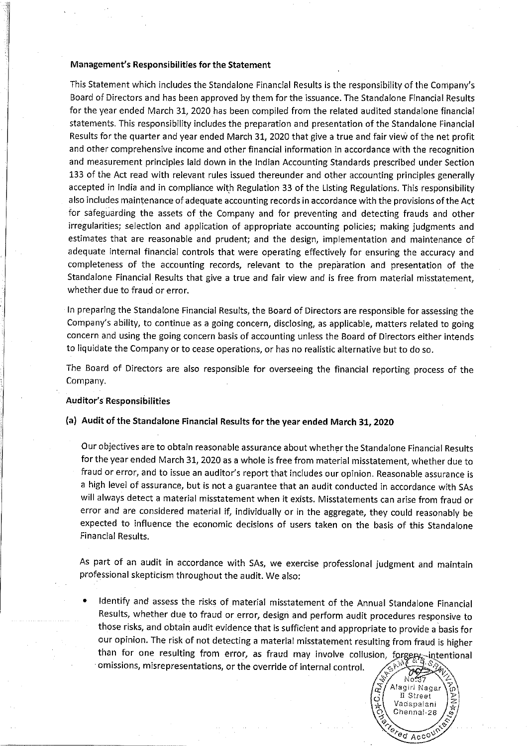#### Management's Responsibilities for the Statement

This Statement which includes the Standalone Financial Results is the responsibility of the Company's Board of Directors and has been approved by them for the issuance. The Standalone Financial Results for the year ended March 31, 2020 has been compiled from the related audited standalone financial statements. This responsibility includes the preparation and presentation of the Standalone Financial Results for the quarter and year ended March 31, 2020 that give a true and fair view of the net profit and other comprehensive income and other financial information in accordance with the recognition and measurement principles laid down in the Indian Accounting Standards prescribed under Section 133 of the Act read with relevant rules issued thereunder and other accounting principles generally accepted in India and in compliance with Regulation 33 of the Listing Regulations. This responsibility also includes maintenance of adequate accounting records in accordance with the provisions of the Act for safeguarding the assets of the Company and for preventing and detecting frauds and other irregularities; selection and application of appropriate accounting policies; making judgments and estimates that are reasonable and prudent; and the design, implementation and maintenance of adequate internal financial controls that were operating effectively for ensuring the accuracy and completeness of the accounting records, relevant to the preparation and presentation of the Standalone Financial Results that give a true and fair view and is free from material misstatement, whether due to fraud or error.

In preparing the Standalone Financial Results, the Board of Directors are responsible for assessing the Company's ability, to continue as a going concern, disclosing, as applicable, matters related to going concern and using the going concern basis of accounting unless the Board of Directors either intends to liquidate the Company or to cease operations, or has no realistic alternative but to do so.

The Board of Directors are also responsible for overseeing the financial reporting process of the Company.

# **Auditor's Responsibilities**

## (a) Audit of the Standalone Financial Results for the year ended March 31, 2020

Our objectives are to obtain reasonable assurance about whether the Standalone Financial Results for the year ended March 31, 2020 as a whole is free from material misstatement, whether due to fraud or error, and to issue an auditor's report that includes our opinion. Reasonable assurance is a high level of assurance, but is not a guarantee that an audit conducted in accordance with SAs will always detect a material misstatement when it exists. Misstatements can arise from fraud or error and are considered material if, individually or in the aggregate, they could reasonably be expected to influence the economic decisions of users taken on the basis of this Standalone **Financial Results.** 

As part of an audit in accordance with SAs, we exercise professional judgment and maintain professional skepticism throughout the audit. We also:

Identify and assess the risks of material misstatement of the Annual Standalone Financial Results, whether due to fraud or error, design and perform audit procedures responsive to those risks, and obtain audit evidence that is sufficient and appropriate to provide a basis for our opinion. The risk of not detecting a material misstatement resulting from fraud is higher than for one resulting from error, as fraud may involve collusion, forgery, intentional omissions, misrepresentations, or the override of internal control.

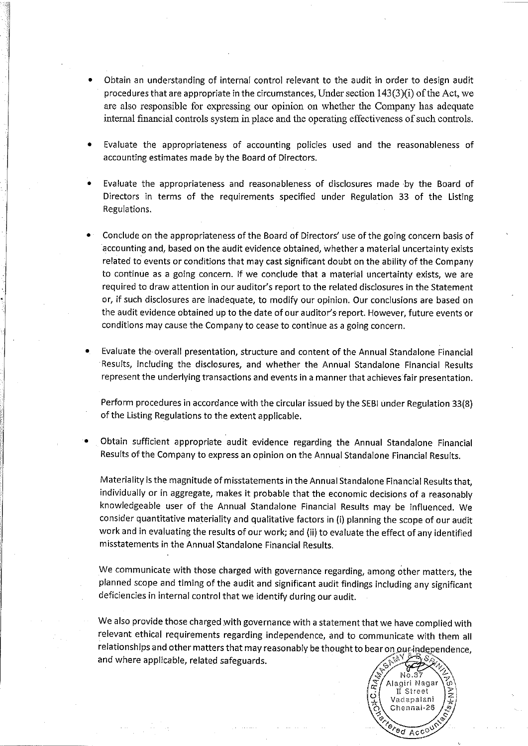- Obtain an understanding of internal control relevant to the audit in order to design audit procedures that are appropriate in the circumstances, Under section  $143(3)(i)$  of the Act, we are also responsible for expressing our opinion on whether the Company has adequate internal financial controls system in place and the operating effectiveness of such controls.
- Evaluate the appropriateness of accounting policies used and the reasonableness of accounting estimates made by the Board of Directors.
- Evaluate the appropriateness and reasonableness of disclosures made by the Board of Directors in terms of the requirements specified under Regulation 33 of the Listing Regulations.
- Conclude on the appropriateness of the Board of Directors' use of the going concern basis of accounting and, based on the audit evidence obtained, whether a material uncertainty exists related to events or conditions that may cast significant doubt on the ability of the Company to continue as a going concern. If we conclude that a material uncertainty exists, we are required to draw attention in our auditor's report to the related disclosures in the Statement or, if such disclosures are inadequate, to modify our opinion. Our conclusions are based on the audit evidence obtained up to the date of our auditor's report. However, future events or conditions may cause the Company to cease to continue as a going concern.
- Evaluate the overall presentation, structure and content of the Annual Standalone Financial Results, including the disclosures, and whether the Annual Standalone Financial Results represent the underlying transactions and events in a manner that achieves fair presentation.

Perform procedures in accordance with the circular issued by the SEBI under Regulation 33(8) of the Listing Regulations to the extent applicable.

Obtain sufficient appropriate audit evidence regarding the Annual Standalone Financial Results of the Company to express an opinion on the Annual Standalone Financial Results.

Materiality is the magnitude of misstatements in the Annual Standalone Financial Results that, individually or in aggregate, makes it probable that the economic decisions of a reasonably knowledgeable user of the Annual Standalone Financial Results may be influenced. We consider quantitative materiality and qualitative factors in (i) planning the scope of our audit work and in evaluating the results of our work; and (ii) to evaluate the effect of any identified misstatements in the Annual Standalone Financial Results.

We communicate with those charged with governance regarding, among other matters, the planned scope and timing of the audit and significant audit findings including any significant deficiencies in internal control that we identify during our audit.

We also provide those charged with governance with a statement that we have complied with relevant ethical requirements regarding independence, and to communicate with them all relationships and other matters that may reasonably be thought to bear on our-independence, and where applicable, related safeguards.

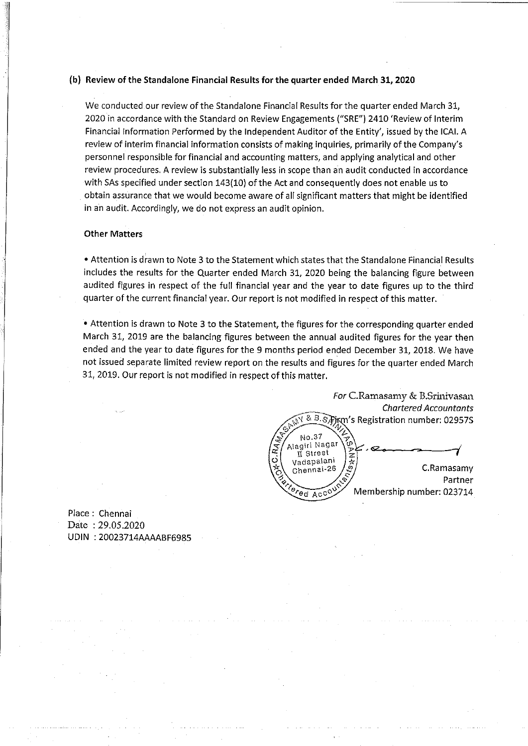## (b) Review of the Standalone Financial Results for the quarter ended March 31, 2020

We conducted our review of the Standalone Financial Results for the quarter ended March 31, 2020 in accordance with the Standard on Review Engagements ("SRE") 2410 'Review of Interim Financial Information Performed by the Independent Auditor of the Entity', issued by the ICAI. A review of interim financial information consists of making inquiries, primarily of the Company's personnel responsible for financial and accounting matters, and applying analytical and other review procedures. A review is substantially less in scope than an audit conducted in accordance with SAs specified under section 143(10) of the Act and consequently does not enable us to obtain assurance that we would become aware of all significant matters that might be identified in an audit. Accordingly, we do not express an audit opinion.

# **Other Matters**

. Attention is drawn to Note 3 to the Statement which states that the Standalone Financial Results includes the results for the Quarter ended March 31, 2020 being the balancing figure between audited figures in respect of the full financial year and the year to date figures up to the third quarter of the current financial year. Our report is not modified in respect of this matter.

• Attention is drawn to Note 3 to the Statement, the figures for the corresponding quarter ended March 31, 2019 are the balancing figures between the annual audited figures for the year then ended and the year to date figures for the 9 months period ended December 31, 2018. We have not issued separate limited review report on the results and figures for the quarter ended March 31, 2019. Our report is not modified in respect of this matter.

For C.Ramasamy & B.Srinivasan **Chartered Accountants** 8. B. S. Firm's Registration number: 02957S No.37 Alagiri Nagar n Street Vadapalani C.Ramasamy Chennai-26 Partner Membership number: 023714 ed Acc<sup>o</sup>

Place: Chennai Date: 29.05.2020 UDIN: 20023714AAAABF6985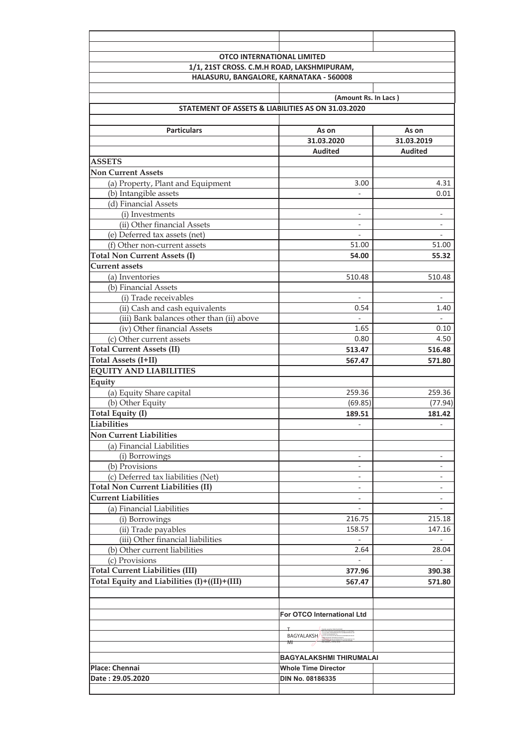| <b>OTCO INTERNATIONAL LIMITED</b>              |                                                    |                          |  |  |  |  |  |  |
|------------------------------------------------|----------------------------------------------------|--------------------------|--|--|--|--|--|--|
| 1/1, 21ST CROSS. C.M.H ROAD, LAKSHMIPURAM,     |                                                    |                          |  |  |  |  |  |  |
|                                                | HALASURU, BANGALORE, KARNATAKA - 560008            |                          |  |  |  |  |  |  |
|                                                |                                                    |                          |  |  |  |  |  |  |
|                                                | (Amount Rs. In Lacs)                               |                          |  |  |  |  |  |  |
|                                                | STATEMENT OF ASSETS & LIABILITIES AS ON 31.03.2020 |                          |  |  |  |  |  |  |
|                                                |                                                    |                          |  |  |  |  |  |  |
| <b>Particulars</b>                             | As on                                              | As on                    |  |  |  |  |  |  |
|                                                | 31.03.2020                                         | 31.03.2019               |  |  |  |  |  |  |
|                                                | <b>Audited</b>                                     | <b>Audited</b>           |  |  |  |  |  |  |
| <b>ASSETS</b>                                  |                                                    |                          |  |  |  |  |  |  |
| <b>Non Current Assets</b>                      |                                                    |                          |  |  |  |  |  |  |
| (a) Property, Plant and Equipment              | 3.00                                               | 4.31                     |  |  |  |  |  |  |
| (b) Intangible assets<br>(d) Financial Assets  |                                                    | 0.01                     |  |  |  |  |  |  |
|                                                |                                                    |                          |  |  |  |  |  |  |
| (i) Investments<br>(ii) Other financial Assets |                                                    |                          |  |  |  |  |  |  |
| (e) Deferred tax assets (net)                  | $\mathbf{r}$                                       |                          |  |  |  |  |  |  |
| (f) Other non-current assets                   | 51.00                                              | 51.00                    |  |  |  |  |  |  |
| <b>Total Non Current Assets (I)</b>            | 54.00                                              | 55.32                    |  |  |  |  |  |  |
| <b>Current assets</b>                          |                                                    |                          |  |  |  |  |  |  |
| (a) Inventories                                | 510.48                                             | 510.48                   |  |  |  |  |  |  |
| (b) Financial Assets                           |                                                    |                          |  |  |  |  |  |  |
| (i) Trade receivables                          | $\omega$                                           |                          |  |  |  |  |  |  |
| (ii) Cash and cash equivalents                 | 0.54                                               | 1.40                     |  |  |  |  |  |  |
| (iii) Bank balances other than (ii) above      |                                                    |                          |  |  |  |  |  |  |
| (iv) Other financial Assets                    | 1.65                                               | 0.10                     |  |  |  |  |  |  |
| (c) Other current assets                       | 0.80                                               | 4.50                     |  |  |  |  |  |  |
| <b>Total Current Assets (II)</b>               | 513.47                                             | 516.48                   |  |  |  |  |  |  |
| Total Assets (I+II)                            | 567.47                                             | 571.80                   |  |  |  |  |  |  |
| <b>EQUITY AND LIABILITIES</b>                  |                                                    |                          |  |  |  |  |  |  |
| Equity                                         |                                                    |                          |  |  |  |  |  |  |
| (a) Equity Share capital                       | 259.36                                             | 259.36                   |  |  |  |  |  |  |
| (b) Other Equity                               | (69.85)                                            | (77.94)                  |  |  |  |  |  |  |
| Total Equity (I)                               | 189.51                                             | 181.42                   |  |  |  |  |  |  |
| <b>Liabilities</b>                             | $\overline{\phantom{a}}$                           | $\overline{\phantom{a}}$ |  |  |  |  |  |  |
| <b>Non Current Liabilities</b>                 |                                                    |                          |  |  |  |  |  |  |
| (a) Financial Liabilities                      |                                                    |                          |  |  |  |  |  |  |
| (i) Borrowings                                 | $\overline{\phantom{a}}$                           |                          |  |  |  |  |  |  |
| (b) Provisions                                 | $\overline{\phantom{a}}$                           |                          |  |  |  |  |  |  |
| (c) Deferred tax liabilities (Net)             | $\overline{\phantom{a}}$                           |                          |  |  |  |  |  |  |
| <b>Total Non Current Liabilities (II)</b>      | ۳                                                  |                          |  |  |  |  |  |  |
| <b>Current Liabilities</b>                     | $\blacksquare$                                     |                          |  |  |  |  |  |  |
| (a) Financial Liabilities                      | $\overline{\phantom{0}}$                           |                          |  |  |  |  |  |  |
| (i) Borrowings                                 | 216.75                                             | 215.18                   |  |  |  |  |  |  |
| (ii) Trade payables                            | 158.57                                             | 147.16                   |  |  |  |  |  |  |
| (iii) Other financial liabilities              | $\overline{\phantom{a}}$                           |                          |  |  |  |  |  |  |
| (b) Other current liabilities                  | 2.64                                               | 28.04                    |  |  |  |  |  |  |
| (c) Provisions                                 |                                                    |                          |  |  |  |  |  |  |
| <b>Total Current Liabilities (III)</b>         | 377.96                                             | 390.38                   |  |  |  |  |  |  |
| Total Equity and Liabilities (I)+((II)+(III)   | 567.47                                             | 571.80                   |  |  |  |  |  |  |
|                                                |                                                    |                          |  |  |  |  |  |  |
|                                                |                                                    |                          |  |  |  |  |  |  |
|                                                | For OTCO International Ltd                         |                          |  |  |  |  |  |  |
|                                                |                                                    |                          |  |  |  |  |  |  |
|                                                | BAGYALAKSH<br>MI                                   |                          |  |  |  |  |  |  |
|                                                |                                                    |                          |  |  |  |  |  |  |
|                                                | BAGYALAKSHMI THIRUMALAI                            |                          |  |  |  |  |  |  |
| Place: Chennai                                 | <b>Whole Time Director</b>                         |                          |  |  |  |  |  |  |
| Date: 29.05.2020                               | DIN No. 08186335                                   |                          |  |  |  |  |  |  |
|                                                |                                                    |                          |  |  |  |  |  |  |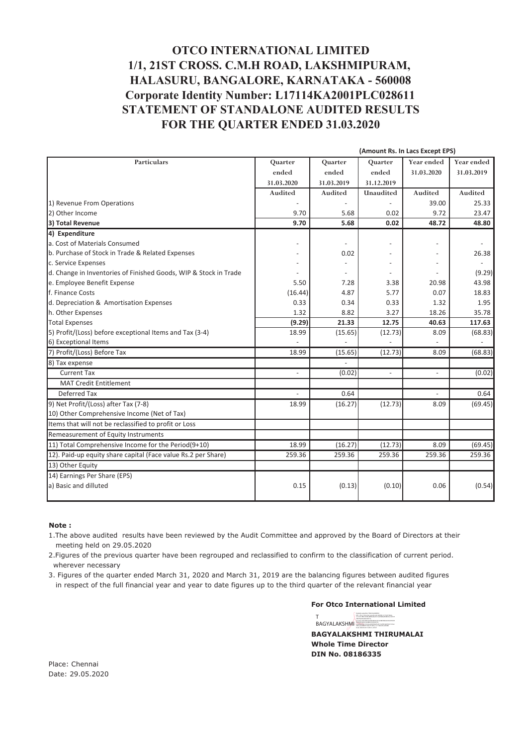# **OTCO INTERNATIONAL LIMITED** 1/1, 21ST CROSS. C.M.H ROAD, LAKSHMIPURAM, HALASURU, BANGALORE, KARNATAKA - 560008 Corporate Identity Number: L17114KA2001PLC028611 STATEMENT OF STANDALONE AUDITED RESULTS FOR THE QUARTER ENDED 31.03.2020

|                                                                  |                          |            | (Amount Rs. In Lacs Except EPS) |                          |                          |
|------------------------------------------------------------------|--------------------------|------------|---------------------------------|--------------------------|--------------------------|
| <b>Particulars</b>                                               | Quarter                  | Quarter    | Quarter                         | Year ended               | Year ended               |
|                                                                  | ended                    | ended      | ended                           | 31.03.2020               | 31.03.2019               |
|                                                                  | 31.03.2020               | 31.03.2019 | 31.12.2019                      |                          |                          |
|                                                                  | Audited                  | Audited    | Unaudited                       | Audited                  | Audited                  |
| 1) Revenue From Operations                                       |                          |            |                                 | 39.00                    | 25.33                    |
| 2) Other Income                                                  | 9.70                     | 5.68       | 0.02                            | 9.72                     | 23.47                    |
| 3) Total Revenue                                                 | 9.70                     | 5.68       | 0.02                            | 48.72                    | 48.80                    |
| 4) Expenditure                                                   |                          |            |                                 |                          |                          |
| a. Cost of Materials Consumed                                    |                          |            |                                 |                          |                          |
| b. Purchase of Stock in Trade & Related Expenses                 |                          | 0.02       |                                 |                          | 26.38                    |
| c. Service Expenses                                              |                          |            |                                 |                          | $\overline{\phantom{a}}$ |
| d. Change in Inventories of Finished Goods, WIP & Stock in Trade |                          |            |                                 |                          | (9.29)                   |
| e. Employee Benefit Expense                                      | 5.50                     | 7.28       | 3.38                            | 20.98                    | 43.98                    |
| f. Finance Costs                                                 | (16.44)                  | 4.87       | 5.77                            | 0.07                     | 18.83                    |
| d. Depreciation & Amortisation Expenses                          | 0.33                     | 0.34       | 0.33                            | 1.32                     | 1.95                     |
| h. Other Expenses                                                | 1.32                     | 8.82       | 3.27                            | 18.26                    | 35.78                    |
| <b>Total Expenses</b>                                            | (9.29)                   | 21.33      | 12.75                           | 40.63                    | 117.63                   |
| 5) Profit/(Loss) before exceptional Items and Tax (3-4)          | 18.99                    | (15.65)    | (12.73)                         | 8.09                     | (68.83)                  |
| 6) Exceptional Items                                             |                          |            |                                 |                          |                          |
| 7) Profit/(Loss) Before Tax                                      | 18.99                    | (15.65)    | (12.73)                         | 8.09                     | (68.83)                  |
| 8) Tax expense                                                   |                          |            |                                 |                          |                          |
| <b>Current Tax</b>                                               | $\overline{\phantom{a}}$ | (0.02)     | $\overline{a}$                  | $\overline{\phantom{a}}$ | (0.02)                   |
| <b>MAT Credit Entitlement</b>                                    |                          |            |                                 |                          |                          |
| Deferred Tax                                                     |                          | 0.64       |                                 |                          | 0.64                     |
| 9) Net Profit/(Loss) after Tax (7-8)                             | 18.99                    | (16.27)    | (12.73)                         | 8.09                     | (69.45)                  |
| 10) Other Comprehensive Income (Net of Tax)                      |                          |            |                                 |                          |                          |
| Items that will not be reclassified to profit or Loss            |                          |            |                                 |                          |                          |
| Remeasurement of Equity Instruments                              |                          |            |                                 |                          |                          |
| 11) Total Comprehensive Income for the Period(9+10)              | 18.99                    | (16.27)    | (12.73)                         | 8.09                     | (69.45)                  |
| 12). Paid-up equity share capital (Face value Rs.2 per Share)    | 259.36                   | 259.36     | 259.36                          | 259.36                   | 259.36                   |
| 13) Other Equity                                                 |                          |            |                                 |                          |                          |
| 14) Earnings Per Share (EPS)                                     |                          |            |                                 |                          |                          |
| a) Basic and dilluted                                            | 0.15                     | (0.13)     | (0.10)                          | 0.06                     | (0.54)                   |
|                                                                  |                          |            |                                 |                          |                          |

#### Note:

1. The above audited results have been reviewed by the Audit Committee and approved by the Board of Directors at their meeting held on 29.05.2020

2. Figures of the previous quarter have been regrouped and reclassified to confirm to the classification of current period. wherever necessary

3. Figures of the quarter ended March 31, 2020 and March 31, 2019 are the balancing figures between audited figures in respect of the full financial year and year to date figures up to the third quarter of the relevant financial year

#### **For Otco International Limited**

 $\label{eq:1} \begin{cases} \begin{array}{ll} \text{DgEally approach} & \text{HAGVNLOMDAM} \\ \text{DFs of, on Porsond, point of the 50004K, of the unit Table,} \\ \text{vs. } \star \nu_{\text{coll}} \text{EqVOMIndMMADE} & \text{FidCSMMMAMMAMAGN} \\ \end{array} \end{cases}$ BAGYALAKSHMI

**BAGYALAKSHMI THIRUMALAI Whole Time Director** DIN No. 08186335

Place: Chennai Date: 29.05.2020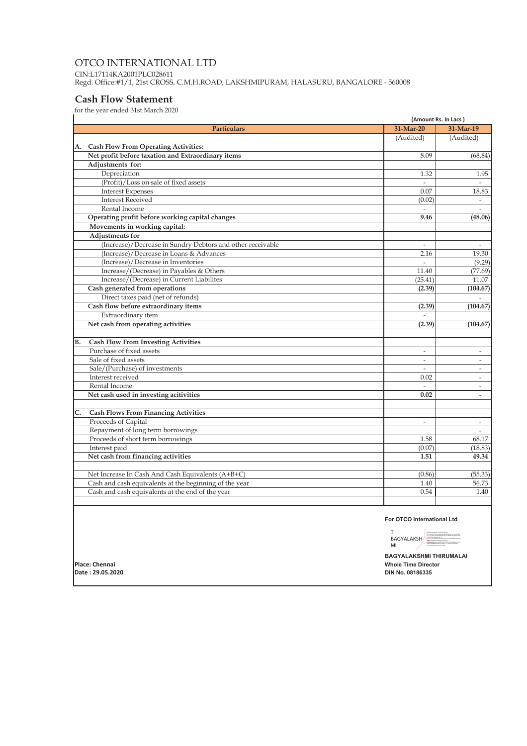### OTCO INTERNATIONAL LTD CIN:L17114KA2001PLC028611 Regd. Office:#1/1, 21st CROSS, C.M.H.ROAD, LAKSHMIPURAM, HALASURU, BANGALORE - 560008

# **Cash Flow Statement**

for the year ended  $31\mathrm{st}$  March  $2020$ 

|                  |                                                                        |                          | (Amount Rs. In Lacs)     |  |
|------------------|------------------------------------------------------------------------|--------------------------|--------------------------|--|
|                  | <b>Particulars</b>                                                     | 31-Mar-20                | 31-Mar-19                |  |
|                  |                                                                        | (Audited)                | (Audited)                |  |
| А.               | <b>Cash Flow From Operating Activities:</b>                            |                          |                          |  |
|                  | Net profit before taxation and Extraordinary items                     | 8.09                     | (68.84)                  |  |
|                  | Adjustments for:                                                       |                          |                          |  |
|                  | Depreciation                                                           | 1.32                     | 1.95                     |  |
|                  | (Profit)/Loss on sale of fixed assets                                  |                          | $\overline{\phantom{a}}$ |  |
|                  | <b>Interest Expenses</b>                                               | 0.07                     | 18.83                    |  |
|                  | <b>Interest Received</b>                                               | (0.02)                   |                          |  |
|                  | Rental Income                                                          |                          | $\overline{\phantom{a}}$ |  |
|                  | Operating profit before working capital changes                        | 9.46                     | (48.06)                  |  |
|                  | Movements in working capital:                                          |                          |                          |  |
|                  | <b>Adjustments for</b>                                                 |                          |                          |  |
|                  | (Increase)/Decrease in Sundry Debtors and other receivable             | $\overline{a}$           | $\overline{\phantom{a}}$ |  |
|                  | (Increase)/Decrease in Loans & Advances                                | 2.16                     | 19.30                    |  |
|                  | (Increase)/Decrease in Inventories                                     |                          | (9.29)                   |  |
|                  | Increase/(Decrease) in Payables & Others                               | 11.40                    | (77.69)                  |  |
|                  | Increase/(Decrease) in Current Liabilites                              | (25.41)                  | 11.07                    |  |
|                  | Cash generated from operations                                         | (2.39)                   | (104.67)                 |  |
|                  | Direct taxes paid (net of refunds)                                     |                          | $\overline{\phantom{a}}$ |  |
|                  | Cash flow before extraordinary items                                   | (2.39)                   | (104.67)                 |  |
|                  | Extraordinary item                                                     |                          |                          |  |
|                  | Net cash from operating activities                                     | (2.39)                   | (104.67)                 |  |
| В.               | <b>Cash Flow From Investing Activities</b>                             |                          |                          |  |
|                  | Purchase of fixed assets                                               | $\overline{\phantom{a}}$ | $\overline{\phantom{a}}$ |  |
|                  | Sale of fixed assets                                                   | $\overline{\phantom{a}}$ | $\overline{\phantom{a}}$ |  |
|                  | Sale/(Purchase) of investments                                         | $\overline{a}$           | $\overline{\phantom{a}}$ |  |
|                  | Interest received                                                      | 0.02                     | $\overline{\phantom{a}}$ |  |
|                  | Rental Income                                                          | $\overline{\phantom{a}}$ | $ \,$                    |  |
|                  | Net cash used in investing acitivities                                 | 0.02                     | $\overline{\phantom{a}}$ |  |
| $\overline{C}$ . |                                                                        |                          |                          |  |
|                  | <b>Cash Flows From Financing Activities</b>                            |                          |                          |  |
|                  | Proceeds of Capital                                                    | $\overline{\phantom{a}}$ | $\overline{\phantom{a}}$ |  |
|                  | Repayment of long term borrowings<br>Proceeds of short term borrowings |                          |                          |  |
|                  |                                                                        | 1.58                     | 68.17                    |  |
|                  | Interest paid                                                          | (0.07)                   | (18.83)                  |  |
|                  | Net cash from financing activities                                     | 1.51                     | 49.34                    |  |
|                  | Net Increase In Cash And Cash Equivalents (A+B+C)                      | (0.86)                   | (55.33)                  |  |
|                  | Cash and cash equivalents at the beginning of the year                 | 1.40                     | 56.73                    |  |
|                  | Cash and cash equivalents at the end of the year                       | 0.54                     | 1.40                     |  |
|                  |                                                                        |                          |                          |  |
|                  |                                                                        |                          |                          |  |

For OTCO International Ltd

lamil Nada<br>MG Malalal BAGYALAKSH

**BAGYALAKSHMI THIRUMALAI Whole Time Director DIN No. 08186335** 

Place: Chennai Date: 29.05.2020